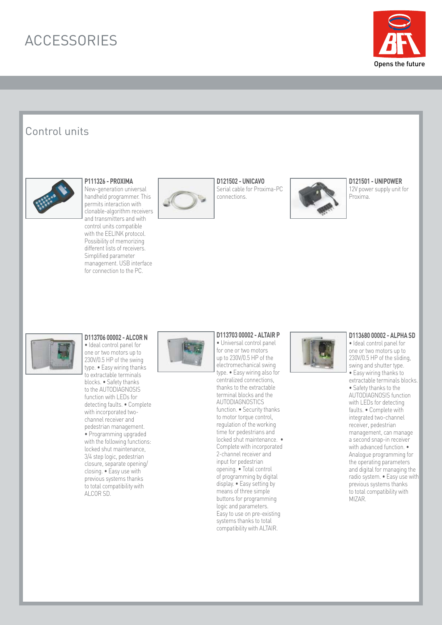

## Control units



## **P111326 - PROXIMA**

New-generation universal handheld programmer. This permits interaction with clonable-algorithm receivers and transmitters and with control units compatible with the EELINK protocol. Possibility of memorizing different lists of receivers. Simplified parameter management. USB interface for connection to the PC.



**D121502 - UNICAVO** Serial cable for Proxima-PC connections.



#### **D121501 - UNIPOWER**

12V power supply unit for Proxima.



### **D113706 00002 - ALCOR N**

• Ideal control panel for one or two motors up to 230V/0.5 HP of the swing type. • Easy wiring thanks to extractable terminals blocks. • Safety thanks to the AUTODIAGNOSIS function with LEDs for detecting faults. • Complete with incorporated twochannel receiver and pedestrian management. • Programming upgraded with the following functions: locked shut maintenance, 3/4 step logic, pedestrian closure, separate opening/ closing. • Easy use with previous systems thanks to total compatibility with ALCOR SD.



### **D113703 00002 - ALTAIR P**

• Universal control panel for one or two motors up to 230V/0.5 HP of the electromechanical swing type. • Easy wiring also for centralized connections, thanks to the extractable terminal blocks and the AUTODIAGNOSTICS function. • Security thanks to motor torque control, regulation of the working time for pedestrians and locked shut maintenance. • Complete with incorporated 2-channel receiver and input for pedestrian opening. • Total control of programming by digital display. • Easy setting by means of three simple buttons for programming logic and parameters. Easy to use on pre-existing systems thanks to total compatibility with ALTAIR.



#### **D113680 00002 - ALPHA SD**

• Ideal control panel for one or two motors up to 230V/0.5 HP of the sliding, swing and shutter type. • Easy wiring thanks to extractable terminals blocks. • Safety thanks to the AUTODIAGNOSIS function with LEDs for detecting faults. • Complete with integrated two-channel receiver, pedestrian management, can manage a second snap-in receiver with advanced function.  $\bullet$ Analogue programming for the operating parameters and digital for managing the radio system. • Easy use with previous systems thanks to total compatibility with MIZAR.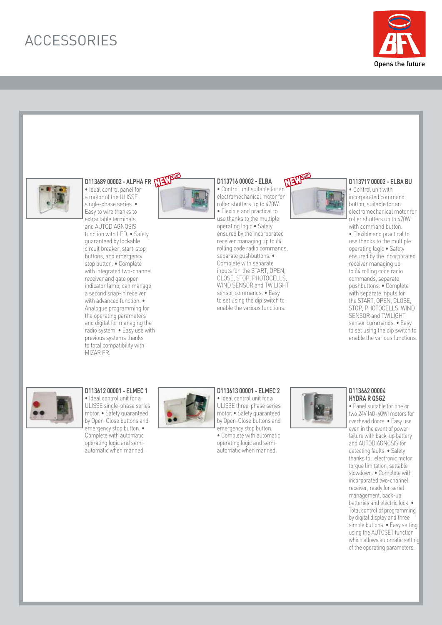



## D113689 00002 - ALPHA FR **NEW**<sup>2009</sup>

• Ideal control panel for a motor of the ULISSE single-phase series. • Easy to wire thanks to extractable terminals and AUTODIAGNOSIS function with LED. • Safety guaranteed by lockable circuit breaker, start-stop buttons, and emergency stop button. • Complete with integrated two-channel receiver and gate open indicator lamp, can manage a second snap-in receiver with advanced function. • Analogue programming for the operating parameters and digital for managing the radio system. • Easy use with previous systems thanks to total compatibility with MIZAR FR.



### **D113716 00002 - ELBA**

• Control unit suitable for an electromechanical motor for roller shutters up to 470W. • Flexible and practical to use thanks to the multiple operating logic • Safety ensured by the incorporated receiver managing up to 64 rolling code radio commands, separate pushbuttons. • Complete with separate inputs for the START, OPEN, CLOSE, STOP, PHOTOCELLS, WIND SENSOR and TWILIGHT sensor commands. • Easy to set using the dip switch to enable the various functions.



#### **D113717 00002 - ELBA BU** • Control unit with

incorporated command button, suitable for an electromechanical motor for roller shutters up to 470W with command button. • Flexible and practical to use thanks to the multiple operating logic • Safety ensured by the incorporated receiver managing up to 64 rolling code radio commands, separate pushbuttons. • Complete with separate inputs for the START, OPEN, CLOSE, STOP, PHOTOCELLS, WIND SENSOR and TWILIGHT sensor commands. • Easy to set using the dip switch to enable the various functions.



**D113612 00001 - ELMEC 1** • Ideal control unit for a ULISSE single-phase series motor. • Safety guaranteed by Open-Close buttons and emergency stop button. • Complete with automatic operating logic and semiautomatic when manned.



**D113613 00001 - ELMEC 2** • Ideal control unit for a ULISSE three-phase series motor. • Safety guaranteed by Open-Close buttons and emergency stop button.

• Complete with automatic operating logic and semiautomatic when manned.



#### **D113662 00004 HYDRA R QSG2**

• Panel suitable for one or two 24V (40+40W) motors for overhead doors. • Easy use even in the event of power failure with back-up battery and AUTODIAGNOSIS for detecting faults. • Safety thanks to: electronic motor torque limitation, settable slowdown. • Complete with incorporated two-channel receiver, ready for serial management, back-up batteries and electric lock. • Total control of programming by digital display and three simple buttons. • Easy setting using the AUTOSET function which allows automatic setting of the operating parameters.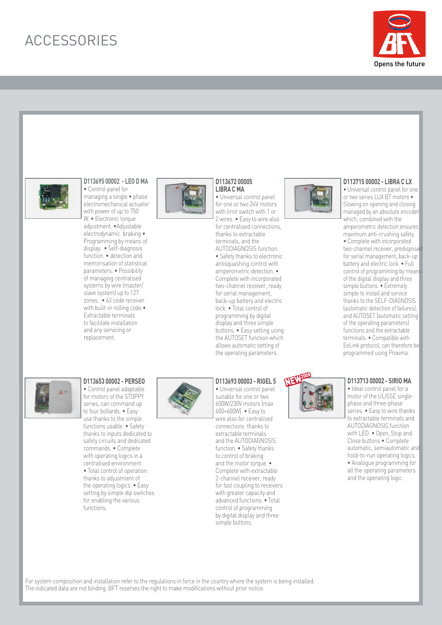



### **D113695 00002 - LEO D MA**

• Control panel for managing a single • phase electromechanical actuator with power of up to 750 W. • Electronic torque adjustment. •Adjustable electrodynamic braking • Programming by means of display. • Self-diagnosis function. • detection and memorisation of statistical parameters. • Possibility of managing centralised systems by wire (master/ slave system) up to 127 zones. • 63 code receiver with built-in rolling code.• Extractable terminals to facilitate installation and any servicing or replacement.



#### **D113672 00005 LIBRA C MA** • Universal control panel

for one or two 24V motors with limit switch with 1 or 2 wires. • Easy to wire also for centralised connections, thanks to extractable terminals, and the AUTODIAGNOSIS function.

• Safety thanks to electronic antisquashing control with amperometric detection. • Complete with incorporated two-channel receiver, ready for serial management, back-up battery and electric lock. • Total control of programming by digital display and three simple buttons. • Easy setting using the AUTOSET function which allows automatic setting of the operating parameters.



#### **D113715 00002 - LIBRA C LX**

• Universal control panel for one or two series LUX BT motors • Slowing on opening and closing managed by an absolute encoder which, combined with the amperometric detection ensures maximum anti-crushing safety. • Complete with incorporated two-channel receiver, predisposed for serial management, back-up battery and electric lock. • Full control of programming by means of the digital display and three simple buttons. • Extremely simple to install and service thanks to the SELF-DIAGNOSIS (automatic detection of failures), and AUTOSET (automatic setting of the operating parameters) functions and the extractable terminals. • Compatible with EeLink protocol, can therefore be programmed using Proxima.



**D113653 00002 - PERSEO** • Control panel adaptable for motors of the STOPPY series, can command up to four bollards. • Easy use thanks to the simple functions usable. • Safety thanks to inputs dedicated to safety circuits and dedicated commands. • Complete with operating logics in a centralised environment. • Total control of operation thanks to adjustment of the operating logics. • Easy setting by simple dip switches for enabling the various

functions.



#### **D113693 00003 - RIGEL 5** • Universal control panel suitable for one or two 600W/230V motors (max 600+600W). • Easy to wire also for centralised connections thanks to extractable terminals and the AUTODIAGNOSIS function. • Safety thanks to control of braking and the motor torque. • Complete with extractable 2-channel receiver, ready for fast coupling to receivers with greater capacity and advanced functions. • Total control of programming by digital display and three simple buttons.



#### **D113713 00002 - SIRIO MA**

• Ideal control panel for a motor of the ULISSE singlephase and three-phase series. • Easy to wire thanks to extractable terminals and AUTODIAGNOSIS function with LED. • Open, Stop and Close buttons • Complete automatic, semiautomatic and hold-to-run operating logics. • Analogue programming for all the operating parameters and the operating logic.

For system composition and installation refer to the regulations in force in the country where the system is being installed. The indicated data are not binding. BFT reserves the right to make modifications without prior notice.